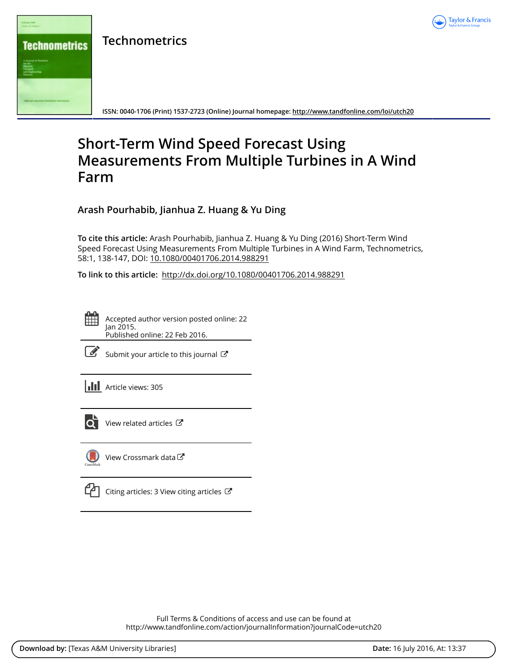

**Technometrics**



**ISSN: 0040-1706 (Print) 1537-2723 (Online) Journal homepage:<http://www.tandfonline.com/loi/utch20>**

# **Short-Term Wind Speed Forecast Using Measurements From Multiple Turbines in A Wind Farm**

**Arash Pourhabib, Jianhua Z. Huang & Yu Ding**

**To cite this article:** Arash Pourhabib, Jianhua Z. Huang & Yu Ding (2016) Short-Term Wind Speed Forecast Using Measurements From Multiple Turbines in A Wind Farm, Technometrics, 58:1, 138-147, DOI: [10.1080/00401706.2014.988291](http://www.tandfonline.com/action/showCitFormats?doi=10.1080/00401706.2014.988291)

**To link to this article:** <http://dx.doi.org/10.1080/00401706.2014.988291>

Accepted author version posted online: 22 Jan 2015. Published online: 22 Feb 2016.



 $\mathbb G$  [Submit your article to this journal](http://www.tandfonline.com/action/authorSubmission?journalCode=utch20&page=instructions)  $\mathbb G$ 





 $\overline{\mathbf{C}}$  [View related articles](http://www.tandfonline.com/doi/mlt/10.1080/00401706.2014.988291)  $\mathbf{C}$ 



[View Crossmark data](http://crossmark.crossref.org/dialog/?doi=10.1080/00401706.2014.988291&domain=pdf&date_stamp=2015-01-22)

[Citing articles: 3 View citing articles](http://www.tandfonline.com/doi/citedby/10.1080/00401706.2014.988291#tabModule)  $\mathbb{Z}$ 

Full Terms & Conditions of access and use can be found at <http://www.tandfonline.com/action/journalInformation?journalCode=utch20>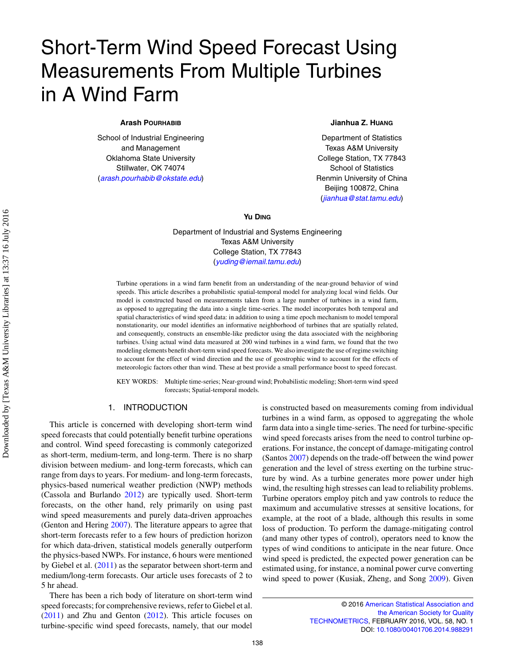# Short-Term Wind Speed Forecast Using Measurements From Multiple Turbines in A Wind Farm

# **Arash POURHABIB**

School of Industrial Engineering and Management Oklahoma State University Stillwater, OK 74074 (*[arash.pourhabib@okstate.edu](mailto:arash.pourhabib@okstate.edu)*)

# **Jianhua Z. HUANG**

Department of Statistics Texas A&M University College Station, TX 77843 School of Statistics Renmin University of China Beijing 100872, China (*[jianhua@stat.tamu.edu](mailto:jianhua@stat.tamu.edu)*)

**Yu DING**

Department of Industrial and Systems Engineering Texas A&M University College Station, TX 77843 (*[yuding@iemail.tamu.edu](mailto:yuding@iemail.tamu.edu)*)

Turbine operations in a wind farm benefit from an understanding of the near-ground behavior of wind speeds. This article describes a probabilistic spatial-temporal model for analyzing local wind fields. Our model is constructed based on measurements taken from a large number of turbines in a wind farm, as opposed to aggregating the data into a single time-series. The model incorporates both temporal and spatial characteristics of wind speed data: in addition to using a time epoch mechanism to model temporal nonstationarity, our model identifies an informative neighborhood of turbines that are spatially related, and consequently, constructs an ensemble-like predictor using the data associated with the neighboring turbines. Using actual wind data measured at 200 wind turbines in a wind farm, we found that the two modeling elements benefit short-term wind speed forecasts. We also investigate the use of regime switching to account for the effect of wind direction and the use of geostrophic wind to account for the effects of meteorologic factors other than wind. These at best provide a small performance boost to speed forecast.

KEY WORDS: Multiple time-series; Near-ground wind; Probabilistic modeling; Short-term wind speed forecasts; Spatial-temporal models.

# <span id="page-1-0"></span>1. INTRODUCTION

This article is concerned with developing short-term wind speed forecasts that could potentially benefit turbine operations and control. Wind speed forecasting is commonly categorized as short-term, medium-term, and long-term. There is no sharp division between medium- and long-term forecasts, which can range from days to years. For medium- and long-term forecasts, physics-based numerical weather prediction (NWP) methods (Cassola and Burlando [2012\)](#page-10-0) are typically used. Short-term forecasts, on the other hand, rely primarily on using past wind speed measurements and purely data-driven approaches (Genton and Hering [2007\)](#page-10-1). The literature appears to agree that short-term forecasts refer to a few hours of prediction horizon for which data-driven, statistical models generally outperform the physics-based NWPs. For instance, 6 hours were mentioned by Giebel et al. [\(2011\)](#page-10-2) as the separator between short-term and medium/long-term forecasts. Our article uses forecasts of 2 to 5 hr ahead.

<span id="page-1-5"></span><span id="page-1-2"></span><span id="page-1-1"></span>There has been a rich body of literature on short-term wind speed forecasts; for comprehensive reviews, refer to Giebel et al. [\(2011\)](#page-10-2) and Zhu and Genton [\(2012\)](#page-10-3). This article focuses on turbine-specific wind speed forecasts, namely, that our model <span id="page-1-4"></span><span id="page-1-3"></span>is constructed based on measurements coming from individual turbines in a wind farm, as opposed to aggregating the whole farm data into a single time-series. The need for turbine-specific wind speed forecasts arises from the need to control turbine operations. For instance, the concept of damage-mitigating control (Santos [2007\)](#page-10-4) depends on the trade-off between the wind power generation and the level of stress exerting on the turbine structure by wind. As a turbine generates more power under high wind, the resulting high stresses can lead to reliability problems. Turbine operators employ pitch and yaw controls to reduce the maximum and accumulative stresses at sensitive locations, for example, at the root of a blade, although this results in some loss of production. To perform the damage-mitigating control (and many other types of control), operators need to know the types of wind conditions to anticipate in the near future. Once wind speed is predicted, the expected power generation can be estimated using, for instance, a nominal power curve converting wind speed to power (Kusiak, Zheng, and Song [2009\)](#page-10-5). Given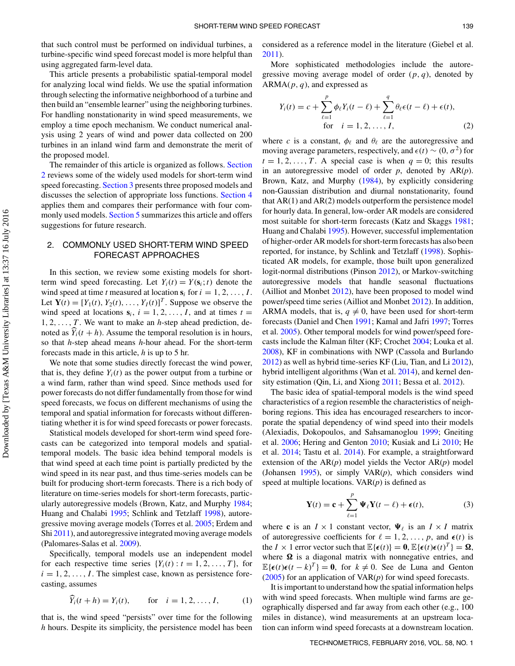that such control must be performed on individual turbines, a turbine-specific wind speed forecast model is more helpful than using aggregated farm-level data.

This article presents a probabilistic spatial-temporal model for analyzing local wind fields. We use the spatial information through selecting the informative neighborhood of a turbine and then build an "ensemble learner" using the neighboring turbines. For handling nonstationarity in wind speed measurements, we employ a time epoch mechanism. We conduct numerical analysis using 2 years of wind and power data collected on 200 turbines in an inland wind farm and demonstrate the merit of the proposed model.

[The](#page-2-0) [remainder](#page-2-0) [of](#page-2-0) [this](#page-2-0) [article](#page-2-0) [is](#page-2-0) [organized](#page-2-0) [as](#page-2-0) [follows.](#page-2-0) Section 2 reviews some of the widely used models for short-term wind speed forecasting. [Section 3](#page-3-0) presents three proposed models and discusses the selection of appropriate loss functions. [Section 4](#page-6-0) applies them and compares their performance with four com-monly used models. [Section 5](#page-9-0) summarizes this article and offers suggestions for future research.

# 2. COMMONLY USED SHORT-TERM WIND SPEED FORECAST APPROACHES

In this section, we review some existing models for shortterm wind speed forecasting. Let  $Y_i(t) = Y(\mathbf{s}_i; t)$  denote the wind speed at time *t* measured at location  $s_i$  for  $i = 1, 2, \ldots, I$ . Let  $\mathbf{Y}(t) = [Y_1(t), Y_2(t), \dots, Y_I(t)]^T$ . Suppose we observe the wind speed at locations  $s_i$ ,  $i = 1, 2, ..., I$ , and at times  $t =$ 1, 2,...,T . We want to make an *h*-step ahead prediction, denoted as  $\hat{Y}_i(t + h)$ . Assume the temporal resolution is in hours, so that *h*-step ahead means *h*-hour ahead. For the short-term forecasts made in this article, *h* is up to 5 hr.

We note that some studies directly forecast the wind power, that is, they define  $Y_i(t)$  as the power output from a turbine or a wind farm, rather than wind speed. Since methods used for power forecasts do not differ fundamentally from those for wind speed forecasts, we focus on different mechanisms of using the temporal and spatial information for forecasts without differentiating whether it is for wind speed forecasts or power forecasts.

Statistical models developed for short-term wind speed forecasts can be categorized into temporal models and spatialtemporal models. The basic idea behind temporal models is that wind speed at each time point is partially predicted by the wind speed in its near past, and thus time-series models can be built for producing short-term forecasts. There is a rich body of literature on time-series models for short-term forecasts, particularly autoregressive models (Brown, Katz, and Murphy [1984;](#page-10-6) Huang and Chalabi [1995;](#page-10-7) Schlink and Tetzlaff [1998\)](#page-10-8), autoregressive moving average models (Torres et al. [2005;](#page-10-9) Erdem and Shi [2011\)](#page-10-10), and autoregressive integrated moving average models (Palomares-Salas et al. [2009\)](#page-10-11).

<span id="page-2-14"></span><span id="page-2-9"></span>Specifically, temporal models use an independent model for each respective time series  $\{Y_i(t): t = 1, 2, ..., T\}$ , for  $i = 1, 2, \ldots, I$ . The simplest case, known as persistence forecasting, assumes

<span id="page-2-21"></span>
$$
\hat{Y}_i(t+h) = Y_i(t),
$$
 for  $i = 1, 2, ..., I,$  (1)

that is, the wind speed "persists" over time for the following *h* hours. Despite its simplicity, the persistence model has been considered as a reference model in the literature (Giebel et al. [2011\)](#page-10-2).

<span id="page-2-10"></span>More sophisticated methodologies include the autoregressive moving average model of order  $(p, q)$ , denoted by  $ARMA(p, q)$ , and expressed as

$$
Y_i(t) = c + \sum_{\ell=1}^p \phi_\ell Y_i(t - \ell) + \sum_{\ell=1}^q \theta_\ell \epsilon(t - \ell) + \epsilon(t),
$$
  
for  $i = 1, 2, ..., I,$  (2)

<span id="page-2-17"></span><span id="page-2-0"></span>where *c* is a constant,  $\phi_{\ell}$  and  $\theta_{\ell}$  are the autoregressive and moving average parameters, respectively, and  $\epsilon(t) \sim (0, \sigma^2)$  for  $t = 1, 2, \ldots, T$ . A special case is when  $q = 0$ ; this results in an autoregressive model of order *p*, denoted by AR(*p*). Brown, Katz, and Murphy [\(1984\)](#page-10-6), by explicitly considering non-Gaussian distribution and diurnal nonstationarity, found that AR(1) and AR(2) models outperform the persistence model for hourly data. In general, low-order AR models are considered most suitable for short-term forecasts (Katz and Skaggs [1981;](#page-10-12) Huang and Chalabi [1995\)](#page-10-7). However, successful implementation of higher-order AR models for short-term forecasts has also been reported, for instance, by Schlink and Tetzlaff [\(1998\)](#page-10-8). Sophisticated AR models, for example, those built upon generalized logit-normal distributions (Pinson [2012\)](#page-10-13), or Markov-switching autoregressive models that handle seasonal fluctuations (Ailliot and Monbet [2012\)](#page-10-14), have been proposed to model wind power/speed time series (Ailliot and Monbet [2012\)](#page-10-14). In addition, ARMA models, that is,  $q \neq 0$ , have been used for short-term forecasts (Daniel and Chen [1991;](#page-10-15) Kamal and Jafri [1997;](#page-10-16) Torres et al. [2005\)](#page-10-9). Other temporal models for wind power/speed forecasts include the Kalman filter (KF; Crochet [2004;](#page-10-17) Louka et al. [2008\)](#page-10-18), KF in combinations with NWP (Cassola and Burlando [2012\)](#page-10-0) as well as hybrid time-series KF (Liu, Tian, and Li [2012\)](#page-10-19), hybrid intelligent algorithms (Wan et al. [2014\)](#page-10-20), and kernel density estimation (Qin, Li, and Xiong [2011;](#page-10-21) Bessa et al. [2012\)](#page-10-22).

<span id="page-2-27"></span><span id="page-2-23"></span><span id="page-2-22"></span><span id="page-2-20"></span><span id="page-2-19"></span><span id="page-2-16"></span><span id="page-2-7"></span><span id="page-2-6"></span><span id="page-2-5"></span><span id="page-2-1"></span>The basic idea of spatial-temporal models is the wind speed characteristics of a region resemble the characteristics of neighboring regions. This idea has encouraged researchers to incorporate the spatial dependency of wind speed into their models (Alexiadis, Dokopoulos, and Sahsamanoglou [1999;](#page-10-23) Gneiting et al. [2006;](#page-10-24) Hering and Genton [2010;](#page-10-25) Kusiak and Li [2010;](#page-10-26) He et al. [2014;](#page-10-27) Tastu et al. [2014\)](#page-10-28). For example, a straightforward extension of the AR(*p*) model yields the Vector AR(*p*) model (Johansen [1995\)](#page-10-29), or simply VAR(*p*), which considers wind speed at multiple locations. VAR(*p*) is defined as

<span id="page-2-25"></span><span id="page-2-18"></span><span id="page-2-15"></span><span id="page-2-13"></span><span id="page-2-12"></span><span id="page-2-11"></span><span id="page-2-3"></span><span id="page-2-2"></span>
$$
\mathbf{Y}(t) = \mathbf{c} + \sum_{\ell=1}^{p} \mathbf{\Psi}_{\ell} \mathbf{Y}(t - \ell) + \boldsymbol{\epsilon}(t),
$$
 (3)

<span id="page-2-26"></span><span id="page-2-24"></span><span id="page-2-4"></span>where **c** is an  $I \times 1$  constant vector,  $\Psi_{\ell}$  is an  $I \times I$  matrix of autoregressive coefficients for  $\ell = 1, 2, \ldots, p$ , and  $\epsilon(t)$  is the  $I \times 1$  error vector such that  $\mathbb{E}\{\epsilon(t)\} = \mathbf{0}, \mathbb{E}\{\epsilon(t)\epsilon(t)^T\} = \mathbf{\Omega},$ where  $\Omega$  is a diagonal matrix with nonnegative entries, and  $\mathbb{E}\{\epsilon(t)\epsilon(t-k)^T\} = \mathbf{0}$ , for  $k \neq 0$ . See de Luna and Genton [\(2005\)](#page-10-30) for an application of VAR(*p*) for wind speed forecasts.

<span id="page-2-8"></span>It is important to understand how the spatial information helps with wind speed forecasts. When multiple wind farms are geographically dispersed and far away from each other (e.g., 100 miles in distance), wind measurements at an upstream location can inform wind speed forecasts at a downstream location.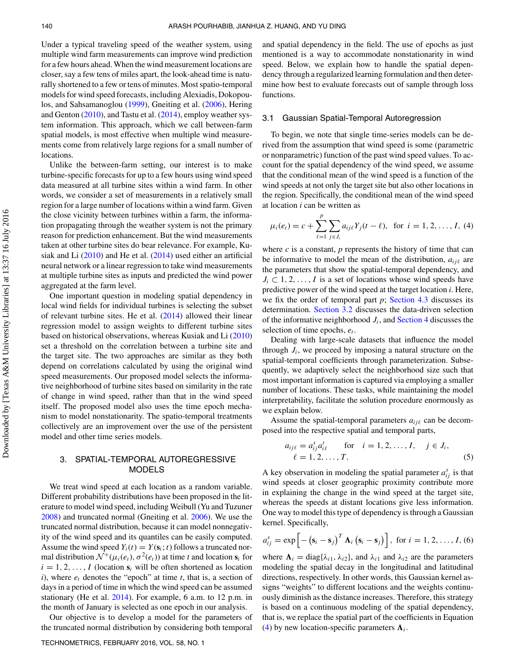Under a typical traveling speed of the weather system, using multiple wind farm measurements can improve wind prediction for a few hours ahead.When the wind measurement locations are closer, say a few tens of miles apart, the look-ahead time is naturally shortened to a few or tens of minutes. Most spatio-temporal models for wind speed forecasts, including Alexiadis, Dokopoulos, and Sahsamanoglou [\(1999\)](#page-10-23), Gneiting et al. [\(2006\)](#page-10-24), Hering and Genton [\(2010\)](#page-10-25), and Tastu et al. [\(2014\)](#page-10-28), employ weather system information. This approach, which we call between-farm spatial models, is most effective when multiple wind measurements come from relatively large regions for a small number of locations.

Unlike the between-farm setting, our interest is to make turbine-specific forecasts for up to a few hours using wind speed data measured at all turbine sites within a wind farm. In other words, we consider a set of measurements in a relatively small region for a large number of locations within a wind farm. Given the close vicinity between turbines within a farm, the information propagating through the weather system is not the primary reason for prediction enhancement. But the wind measurements taken at other turbine sites do bear relevance. For example, Kusiak and Li [\(2010\)](#page-10-26) and He et al. [\(2014\)](#page-10-27) used either an artificial neural network or a linear regression to take wind measurements at multiple turbine sites as inputs and predicted the wind power aggregated at the farm level.

<span id="page-3-7"></span>One important question in modeling spatial dependency in local wind fields for individual turbines is selecting the subset of relevant turbine sites. He et al. [\(2014\)](#page-10-27) allowed their linear regression model to assign weights to different turbine sites based on historical observations, whereas Kusiak and Li [\(2010\)](#page-10-26) set a threshold on the correlation between a turbine site and the target site. The two approaches are similar as they both depend on correlations calculated by using the original wind speed measurements. Our proposed model selects the informative neighborhood of turbine sites based on similarity in the rate of change in wind speed, rather than that in the wind speed itself. The proposed model also uses the time epoch mechanism to model nonstationarity. The spatio-temporal treatments collectively are an improvement over the use of the persistent model and other time series models.

# 3. SPATIAL-TEMPORAL AUTOREGRESSIVE MODELS

<span id="page-3-8"></span>We treat wind speed at each location as a random variable. Different probability distributions have been proposed in the literature to model wind speed, including Weibull (Yu and Tuzuner [2008\)](#page-10-31) and truncated normal (Gneiting et al. [2006\)](#page-10-24). We use the truncated normal distribution, because it can model nonnegativity of the wind speed and its quantiles can be easily computed. Assume the wind speed  $Y_i(t) = Y(\mathbf{s}_i; t)$  follows a truncated normal distribution  $\mathcal{N}^+(\mu_i(e_t), \sigma^2(e_t))$  at time *t* and location  $\mathbf{s}_i$  for  $i = 1, 2, \ldots, I$  (location  $s_i$  will be often shortened as location  $i$ ), where  $e_t$  denotes the "epoch" at time  $t$ , that is, a section of days in a period of time in which the wind speed can be assumed stationary (He et al. [2014\)](#page-10-27). For example, 6 a.m. to 12 p.m. in the month of January is selected as one epoch in our analysis.

Our objective is to develop a model for the parameters of the truncated normal distribution by considering both temporal

and spatial dependency in the field. The use of epochs as just mentioned is a way to accommodate nonstationarity in wind speed. Below, we explain how to handle the spatial dependency through a regularized learning formulation and then determine how best to evaluate forecasts out of sample through loss functions.

#### <span id="page-3-5"></span><span id="page-3-4"></span>3.1 Gaussian Spatial-Temporal Autoregression

To begin, we note that single time-series models can be derived from the assumption that wind speed is some (parametric or nonparametric) function of the past wind speed values. To account for the spatial dependency of the wind speed, we assume that the conditional mean of the wind speed is a function of the wind speeds at not only the target site but also other locations in the region. Specifically, the conditional mean of the wind speed at location *i* can be written as

$$
\mu_i(e_i) = c + \sum_{\ell=1}^p \sum_{j \in J_i} a_{ij\ell} Y_j(t - \ell), \text{ for } i = 1, 2, ..., I, (4)
$$

<span id="page-3-6"></span><span id="page-3-1"></span>where  $c$  is a constant,  $p$  represents the history of time that can be informative to model the mean of the distribution,  $a_{ij\ell}$  are the parameters that show the spatial-temporal dependency, and  $J_i \subset 1, 2, \ldots, I$  is a set of locations whose wind speeds have predictive power of the wind speed at the target location *i*. Here, we fix the order of temporal part  $p$ ; [Section 4.3](#page-8-0) discusses its determination. [Section 3.2](#page-4-0) discusses the data-driven selection of the informative neighborhood  $J_i$ , and [Section 4](#page-6-0) discusses the selection of time epochs,  $e_t$ .

Dealing with large-scale datasets that influence the model through  $J_i$ , we proceed by imposing a natural structure on the spatial-temporal coefficients through parameterization. Subsequently, we adaptively select the neighborhood size such that most important information is captured via employing a smaller number of locations. These tasks, while maintaining the model interpretability, facilitate the solution procedure enormously as we explain below.

Assume the spatial-temporal parameters  $a_{ij\ell}$  can be decomposed into the respective spatial and temporal parts,

$$
a_{ij\ell} = a_{ij}^{s} a_{i\ell}^{t} \quad \text{for} \quad i = 1, 2, ..., I, \quad j \in J_i, \ell = 1, 2, ..., T.
$$
 (5)

<span id="page-3-2"></span><span id="page-3-0"></span>A key observation in modeling the spatial parameter  $a_{ij}^s$  is that wind speeds at closer geographic proximity contribute more in explaining the change in the wind speed at the target site, whereas the speeds at distant locations give less information. One way to model this type of dependency is through a Gaussian kernel. Specifically,

$$
a_{ij}^s = \exp\left[-\left(\mathbf{s}_i - \mathbf{s}_j\right)^T \mathbf{\Lambda}_i \left(\mathbf{s}_i - \mathbf{s}_j\right)\right], \text{ for } i = 1, 2, \ldots, I, (6)
$$

<span id="page-3-3"></span>where  $\Lambda_i = \text{diag}\{\lambda_{i1}, \lambda_{i2}\}\$ , and  $\lambda_{i1}$  and  $\lambda_{i2}$  are the parameters modeling the spatial decay in the longitudinal and latitudinal directions, respectively. In other words, this Gaussian kernel assigns "weights" to different locations and the weights continuously diminish as the distance increases. Therefore, this strategy is based on a continuous modeling of the spatial dependency, that is, we replace the spatial part of the coefficients in Equation [\(4\)](#page-3-1) by new location-specific parameters  $\Lambda_i$ .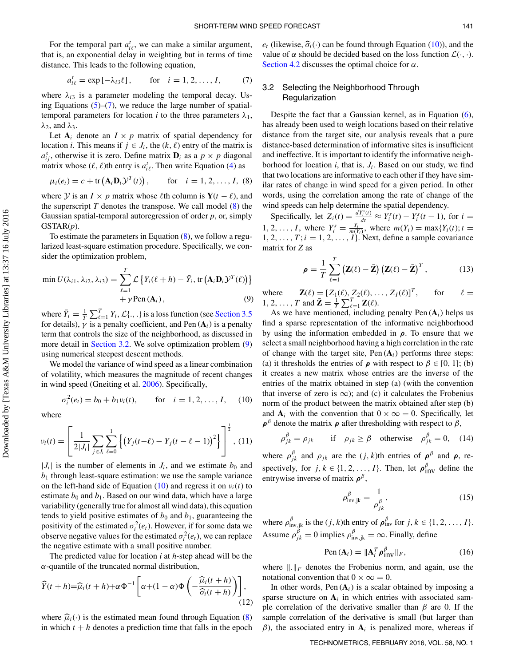For the temporal part  $a_{i\ell}^t$ , we can make a similar argument, that is, an exponential delay in weighting but in terms of time distance. This leads to the following equation,

$$
a_{i\ell}^t = \exp[-\lambda_{i3}\ell],
$$
 for  $i = 1, 2, ..., I,$  (7)

<span id="page-4-1"></span>where  $\lambda_{i3}$  is a parameter modeling the temporal decay. Using Equations  $(5)$ – $(7)$ , we reduce the large number of spatialtemporal parameters for location *i* to the three parameters  $\lambda_1$ ,  $\lambda_2$ , and  $\lambda_3$ .

Let  $A_i$  denote an  $I \times p$  matrix of spatial dependency for location *i*. This means if  $j \in J_i$ , the  $(k, \ell)$  entry of the matrix is  $a_{ij}^s$ , otherwise it is zero. Define matrix  $\mathbf{D}_i$  as a  $p \times p$  diagonal matrix whose  $(\ell, \ell)$ th entry is  $a_{i\ell}^t$ . Then write Equation [\(4\)](#page-3-1) as

$$
\mu_i(e_t) = c + \text{tr}(\mathbf{A}_i \mathbf{D}_i \mathcal{Y}^T(t)), \quad \text{for} \quad i = 1, 2, ..., I, (8)
$$

<span id="page-4-2"></span>where *Y* is an  $I \times p$  matrix whose  $\ell$ th column is **Y**( $t - \ell$ ), and the superscript  $T$  denotes the transpose. We call model  $(8)$  the Gaussian spatial-temporal autoregression of order *p*, or, simply GSTAR(*p*).

To estimate the parameters in Equation [\(8\)](#page-4-2), we follow a regularized least-square estimation procedure. Specifically, we consider the optimization problem,

$$
\min U(\lambda_{i1}, \lambda_{i2}, \lambda_{i3}) = \sum_{\ell=1}^{T} \mathcal{L} \left\{ Y_i(\ell+h) - \bar{Y}_i, \text{tr} \left( \mathbf{A}_i \mathbf{D}_i \mathcal{Y}^T(\ell) \right) \right\} + \gamma \text{Pen} \left( \mathbf{A}_i \right), \tag{9}
$$

<span id="page-4-3"></span>where  $\bar{Y}_i = \frac{1}{T} \sum_{\ell=1}^T Y_i$ ,  $\mathcal{L}\{\ldots\}$  is a loss function (see [Section 3.5](#page-5-0)) for details),  $\gamma$  is a penalty coefficient, and Pen ( $A_i$ ) is a penalty term that controls the size of the neighborhood, as discussed in more detail in [Section 3.2.](#page-4-0) We solve optimization problem [\(9\)](#page-4-3) using numerical steepest descent methods.

We model the variance of wind speed as a linear combination of volatility, which measures the magnitude of recent changes in wind speed (Gneiting et al. [2006\)](#page-10-24). Specifically,

<span id="page-4-7"></span>
$$
\sigma_i^2(e_t) = b_0 + b_1 v_i(t)
$$
, for  $i = 1, 2, ..., I$ , (10)

where

<span id="page-4-4"></span>
$$
v_i(t) = \left[ \frac{1}{2|J_i|} \sum_{j \in J_i} \sum_{\ell=0}^1 \left\{ \left( Y_j(t-\ell) - Y_j(t-\ell-1) \right)^2 \right\} \right]^{\frac{1}{2}}, (11)
$$

 $|J_i|$  is the number of elements in  $J_i$ , and we estimate  $b_0$  and  $b_1$  through least-square estimation: we use the sample variance on the left-hand side of Equation [\(10\)](#page-4-4) and regress it on  $v_i(t)$  to estimate  $b_0$  and  $b_1$ . Based on our wind data, which have a large variability (generally true for almost all wind data), this equation tends to yield positive estimates of  $b_0$  and  $b_1$ , guaranteeing the positivity of the estimated  $\sigma_i^2(e_t)$ . However, if for some data we observe negative values for the estimated  $\sigma_i^2(e_t)$ , we can replace the negative estimate with a small positive number.

The predicted value for location *i* at *h*-step ahead will be the  $\alpha$ -quantile of the truncated normal distribution,

$$
\widehat{Y}(t+h) = \widehat{\mu}_i(t+h) + \alpha \Phi^{-1} \left[ \alpha + (1-\alpha)\Phi\left(-\frac{\widehat{\mu}_i(t+h)}{\widehat{\sigma}_i(t+h)}\right) \right],\tag{12}
$$

<span id="page-4-5"></span>where  $\hat{\mu}_i(\cdot)$  is the estimated mean found through Equation [\(8\)](#page-4-2) in which  $t + h$  denotes a prediction time that falls in the epoch

 $e_t$  (likewise,  $\widehat{\sigma}_i(\cdot)$  can be found through Equation [\(10\)](#page-4-4)), and the value of  $\alpha$  should be decided based on the loss function  $\mathcal{L}(\cdot, \cdot)$ . [Section 4.2](#page-8-1) discusses the optimal choice for  $\alpha$ .

# 3.2 Selecting the Neighborhood Through Regularization

<span id="page-4-0"></span>Despite the fact that a Gaussian kernel, as in Equation [\(6\)](#page-3-3), has already been used to weigh locations based on their relative distance from the target site, our analysis reveals that a pure distance-based determination of informative sites is insufficient and ineffective. It is important to identify the informative neighborhood for location  $i$ , that is,  $J_i$ . Based on our study, we find that two locations are informative to each other if they have similar rates of change in wind speed for a given period. In other words, using the correlation among the rate of change of the wind speeds can help determine the spatial dependency.

Specifically, let  $Z_i(t) = \frac{dY_i^s(t)}{dt} \approx Y_i^s(t) - Y_i^s(t-1)$ , for  $i =$ 1, 2, ..., *I*, where  $Y_i^s = \frac{Y_i}{m(Y_i)}$ , where  $m(Y_i) = \max\{Y_i(t); t =$  $1, 2, \ldots, T; i = 1, 2, \ldots, I$ . Next, define a sample covariance matrix for *Z* as

$$
\rho = \frac{1}{T} \sum_{\ell=1}^{T} \left( \mathbf{Z}(\ell) - \bar{\mathbf{Z}} \right) \left( \mathbf{Z}(\ell) - \bar{\mathbf{Z}} \right)^{T}, \tag{13}
$$

where  $\mathbf{Z}(\ell) = [Z_1(\ell), Z_2(\ell), \dots, Z_I(\ell)]^T$ , for  $\ell$  $\ell=$ 1, 2, ..., T and  $\bar{\mathbf{Z}} = \frac{1}{T} \sum_{\ell=1}^{T} \mathbf{Z}(\ell)$ .

As we have mentioned, including penalty Pen  $(A_i)$  helps us find a sparse representation of the informative neighborhood by using the information embedded in *ρ*. To ensure that we select a small neighborhood having a high correlation in the rate of change with the target site,  $Pen(A_i)$  performs three steps: (a) it thresholds the entries of  $\rho$  with respect to  $\beta \in [0, 1]$ ; (b) it creates a new matrix whose entries are the inverse of the entries of the matrix obtained in step (a) (with the convention that inverse of zero is  $\infty$ ); and (c) it calculates the Frobenius norm of the product between the matrix obtained after step (b) and  $A_i$  with the convention that  $0 \times \infty = 0$ . Specifically, let  $\rho^{\beta}$  denote the matrix  $\rho$  after thresholding with respect to  $\beta$ ,

$$
\rho_{jk}^{\beta} = \rho_{jk} \quad \text{if} \quad \rho_{jk} \ge \beta \quad \text{otherwise} \quad \rho_{jk}^{\beta} = 0, \quad (14)
$$

<span id="page-4-6"></span>where  $\rho_{jk}^{\beta}$  and  $\rho_{jk}$  are the  $(j, k)$ th entries of  $\rho^{\beta}$  and  $\rho$ , respectively, for  $j, k \in \{1, 2, ..., I\}$ . Then, let  $\rho_{\text{inv}}^{\beta}$  define the entrywise inverse of matrix  $\rho^{\beta}$ ,

$$
\rho_{\text{inv},jk}^{\beta} = \frac{1}{\rho_{jk}^{\beta}},\tag{15}
$$

where  $\rho_{\text{inv},jk}^{\beta}$  is the  $(j, k)$ th entry of  $\rho_{\text{inv}}^{\beta}$  for  $j, k \in \{1, 2, ..., I\}$ . Assume  $\rho_{jk}^{\beta} = 0$  implies  $\rho_{\text{inv},jk}^{\beta} = \infty$ . Finally, define

$$
Pen\left(\mathbf{A}_{i}\right) = \|\mathbf{A}_{i}^{T}\boldsymbol{\rho}_{\text{inv}}^{\beta}\|_{F},\tag{16}
$$

where  $\|\cdot\|_F$  denotes the Frobenius norm, and again, use the notational convention that  $0 \times \infty = 0$ .

In other words, Pen  $(A_i)$  is a scalar obtained by imposing a sparse structure on  $A_i$  in which entries with associated sample correlation of the derivative smaller than  $\beta$  are 0. If the sample correlation of the derivative is small (but larger than  $β$ ), the associated entry in  **is penalized more, whereas if**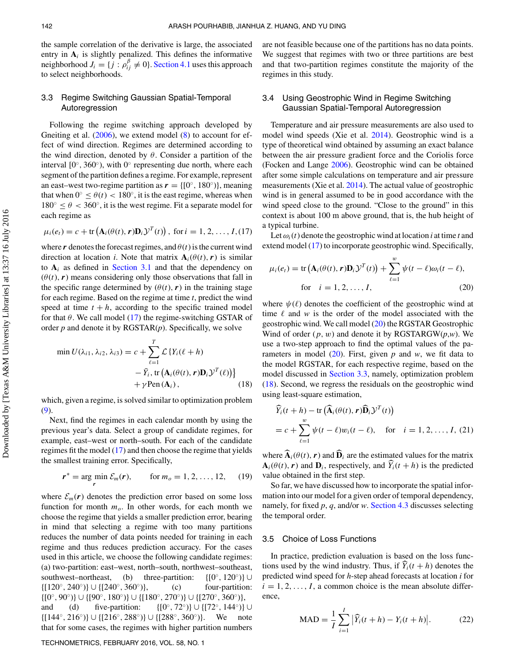the sample correlation of the derivative is large, the associated entry in  $A_i$  is slightly penalized. This defines the informative neighborhood  $J_i = \{j : \rho_{ij}^{\beta} \neq 0\}$ . [Section 4.1](#page-7-0) uses this approach to select neighborhoods.

# 3.3 Regime Switching Gaussian Spatial-Temporal Autoregression

<span id="page-5-7"></span><span id="page-5-3"></span>Following the regime switching approach developed by Gneiting et al.  $(2006)$ , we extend model  $(8)$  to account for effect of wind direction. Regimes are determined according to the wind direction, denoted by  $\theta$ . Consider a partition of the interval  $[0^\circ, 360^\circ)$ , with  $0^\circ$  representing due north, where each segment of the partition defines a regime. For example, represent an east–west two-regime partition as  $r = \{[0, 180\degree]\}$ , meaning that when  $0° \le \theta(t) < 180°$ , it is the east regime, whereas when  $180^\circ \le \theta < 360^\circ$ , it is the west regime. Fit a separate model for each regime as

$$
\mu_i(e_t) = c + \text{tr}\left(\mathbf{A}_i(\theta(t), \mathbf{r})\mathbf{D}_i\mathcal{Y}^T(t)\right), \text{ for } i = 1, 2, ..., I, (17)
$$

<span id="page-5-1"></span>where  $\bf{r}$  denotes the forecast regimes, and  $\theta(t)$  is the current wind direction at location *i*. Note that matrix  $A_i(\theta(t), r)$  is similar to  $A_i$  as defined in [Section 3.1](#page-3-4) and that the dependency on  $(\theta(t), r)$  means considering only those observations that fall in the specific range determined by  $(\theta(t), r)$  in the training stage for each regime. Based on the regime at time *t*, predict the wind speed at time  $t + h$ , according to the specific trained model for that  $\theta$ . We call model [\(17\)](#page-5-1) the regime-switching GSTAR of order *p* and denote it by RGSTAR(*p*). Specifically, we solve

$$
\min U(\lambda_{i1}, \lambda_{i2}, \lambda_{i3}) = c + \sum_{\ell=1}^{T} \mathcal{L} \{ Y_i(\ell+h) - \bar{Y}_i, \text{tr} \left( \mathbf{A}_i(\theta(t), r) \mathbf{D}_i \mathcal{Y}^T(\ell) \right) \} + \gamma \text{Pen} \left( \mathbf{A}_i \right), \qquad (18)
$$

<span id="page-5-4"></span>which, given a regime, is solved similar to optimization problem [\(9\)](#page-4-3).

Next, find the regimes in each calendar month by using the previous year's data. Select a group of candidate regimes, for example, east–west or north–south. For each of the candidate regimes fit the model [\(17\)](#page-5-1) and then choose the regime that yields the smallest training error. Specifically,

$$
r^* = \underset{r}{\arg \min} \mathcal{E}_m(r), \qquad \text{for } m_o = 1, 2, ..., 12, \quad (19)
$$

where  $\mathcal{E}_m(\mathbf{r})$  denotes the prediction error based on some loss function for month  $m<sub>o</sub>$ . In other words, for each month we choose the regime that yields a smaller prediction error, bearing in mind that selecting a regime with too many partitions reduces the number of data points needed for training in each regime and thus reduces prediction accuracy. For the cases used in this article, we choose the following candidate regimes: (a) two-partition: east–west, north–south, northwest–southeast, southwest–northeast, (b) three-partition:  $\{[0^\circ, 120^\circ)\}$  $\{[120^\circ, 240^\circ] \} \cup \{[240^\circ, 360^\circ] \}$ , (c) four-partition:  $\{[0^\circ, 90^\circ]\}\cup \{[90^\circ, 180^\circ]\}\cup \{[180^\circ, 270^\circ]\}\cup \{[270^\circ, 360^\circ)\},\$ and (d) five-partition:  $\{[0^\circ, 72^\circ)\} \cup \{[72^\circ, 144^\circ)\} \cup$  $\{[144^\circ, 216^\circ] \cup \{[216^\circ, 288^\circ] \} \cup \{[288^\circ, 360^\circ] \}$ . We note that for some cases, the regimes with higher partition numbers

#### TECHNOMETRICS, FEBRUARY 2016, VOL. 58, NO. 1

are not feasible because one of the partitions has no data points. We suggest that regimes with two or three partitions are best and that two-partition regimes constitute the majority of the regimes in this study.

# 3.4 Using Geostrophic Wind in Regime Switching Gaussian Spatial-Temporal Autoregression

<span id="page-5-8"></span><span id="page-5-6"></span><span id="page-5-5"></span>Temperature and air pressure measurements are also used to model wind speeds (Xie et al. [2014\)](#page-10-32). Geostrophic wind is a type of theoretical wind obtained by assuming an exact balance between the air pressure gradient force and the Coriolis force (Focken and Lange [2006\)](#page-10-33). Geostrophic wind can be obtained after some simple calculations on temperature and air pressure measurements (Xie et al. [2014\)](#page-10-32). The actual value of geostrophic wind is in general assumed to be in good accordance with the wind speed close to the ground. "Close to the ground" in this context is about 100 m above ground, that is, the hub height of a typical turbine.

Let  $\omega_i(t)$  denote the geostrophic wind at location *i* at time *t* and extend model [\(17\)](#page-5-1) to incorporate geostrophic wind. Specifically,

$$
\mu_i(e_t) = \text{tr}\left(\mathbf{A}_i(\theta(t), \mathbf{r})\mathbf{D}_i\mathcal{Y}^T(t)\right) + \sum_{\ell=1}^w \psi(t-\ell)\omega_i(t-\ell),
$$
  
for  $i = 1, 2, ..., I,$  (20)

<span id="page-5-2"></span>where  $\psi(\ell)$  denotes the coefficient of the geostrophic wind at time  $\ell$  and  $w$  is the order of the model associated with the geostrophic wind. We call model [\(20\)](#page-5-2) the RGSTAR Geostrophic Wind of order (p, w) and denote it by RGSTARGW(*p*,*w*). We use a two-step approach to find the optimal values of the parameters in model  $(20)$ . First, given p and w, we fit data to the model RGSTAR, for each respective regime, based on the model discussed in [Section 3.3,](#page-5-3) namely, optimization problem [\(18\)](#page-5-4). Second, we regress the residuals on the geostrophic wind using least-square estimation,

$$
\widehat{Y}_i(t+h) - \text{tr}\left(\widehat{\mathbf{A}}_i(\theta(t), r)\widehat{\mathbf{D}}_i\mathcal{Y}^T(t)\right)
$$
\n
$$
= c + \sum_{\ell=1}^w \psi(t-\ell)w_i(t-\ell), \quad \text{for} \quad i = 1, 2, \dots, I, (21)
$$

where  $\mathbf{A}_i(\theta(t), r)$  and  $\mathbf{D}_i$  are the estimated values for the matrix  $\mathbf{A}_i(\theta(t), \mathbf{r})$  and  $\mathbf{D}_i$ , respectively, and  $\hat{Y}_i(t + h)$  is the predicted value obtained in the first step.

So far, we have discussed how to incorporate the spatial information into our model for a given order of temporal dependency, namely, for fixed *p*, *q*, and/or *w*. [Section 4.3](#page-8-0) discusses selecting the temporal order.

### 3.5 Choice of Loss Functions

In practice, prediction evaluation is based on the loss functions used by the wind industry. Thus, if  $\hat{Y}_i(t + h)$  denotes the predicted wind speed for *h*-step ahead forecasts at location *i* for  $i = 1, 2, \ldots, I$ , a common choice is the mean absolute difference,

<span id="page-5-0"></span>
$$
MAD = \frac{1}{I} \sum_{i=1}^{I} |\widehat{Y}_i(t+h) - Y_i(t+h)|.
$$
 (22)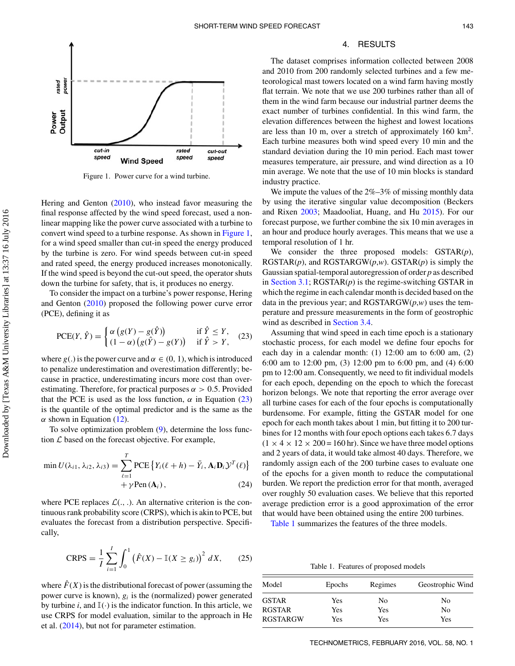<span id="page-6-1"></span>

<span id="page-6-6"></span>Figure 1. Power curve for a wind turbine.

Hering and Genton [\(2010\)](#page-10-25), who instead favor measuring the final response affected by the wind speed forecast, used a nonlinear mapping like the power curve associated with a turbine to convert wind speed to a turbine response. As shown in [Figure 1,](#page-6-1) for a wind speed smaller than cut-in speed the energy produced by the turbine is zero. For wind speeds between cut-in speed and rated speed, the energy produced increases monotonically. If the wind speed is beyond the cut-out speed, the operator shuts down the turbine for safety, that is, it produces no energy.

To consider the impact on a turbine's power response, Hering and Genton [\(2010\)](#page-10-25) proposed the following power curve error (PCE), defining it as

$$
\text{PCE}(Y, \hat{Y}) = \begin{cases} \alpha \left( g(Y) - g(\hat{Y}) \right) & \text{if } \hat{Y} \le Y, \\ (1 - \alpha) \left( g(\hat{Y}) - g(Y) \right) & \text{if } \hat{Y} > Y, \end{cases} (23)
$$

<span id="page-6-2"></span>where  $g(.)$  is the power curve and  $\alpha \in (0, 1)$ , which is introduced to penalize underestimation and overestimation differently; because in practice, underestimating incurs more cost than overestimating. Therefore, for practical purposes  $\alpha > 0.5$ . Provided that the PCE is used as the loss function,  $\alpha$  in Equation [\(23\)](#page-6-2) is the quantile of the optimal predictor and is the same as the  $\alpha$  shown in Equation [\(12\)](#page-4-5).

To solve optimization problem  $(9)$ , determine the loss function  $\mathcal L$  based on the forecast objective. For example,

$$
\min U(\lambda_{i1}, \lambda_{i2}, \lambda_{i3}) = \sum_{\ell=1}^{T} \text{PCE} \left\{ Y_i(\ell+h) - \bar{Y}_i, \mathbf{A}_i \mathbf{D}_i \mathcal{Y}^T(\ell) \right\} + \gamma \text{Pen}(\mathbf{A}_i), \tag{24}
$$

where PCE replaces  $\mathcal{L}(\cdot, \cdot)$ . An alternative criterion is the continuous rank probability score (CRPS), which is akin to PCE, but evaluates the forecast from a distribution perspective. Specifically,

$$
CRPS = \frac{1}{I} \sum_{i=1}^{I} \int_{0}^{1} (\hat{F}(X) - \mathbb{I}(X \ge g_{i}))^{2} dX, \qquad (25)
$$

<span id="page-6-5"></span>where  $\hat{F}(X)$  is the distributional forecast of power (assuming the power curve is known),  $g_i$  is the (normalized) power generated by turbine *i*, and  $\mathbb{I}(\cdot)$  is the indicator function. In this article, we use CRPS for model evaluation, similar to the approach in He et al. [\(2014\)](#page-10-27), but not for parameter estimation.

# <span id="page-6-0"></span>4. RESULTS

The dataset comprises information collected between 2008 and 2010 from 200 randomly selected turbines and a few meteorological mast towers located on a wind farm having mostly flat terrain. We note that we use 200 turbines rather than all of them in the wind farm because our industrial partner deems the exact number of turbines confidential. In this wind farm, the elevation differences between the highest and lowest locations are less than 10 m, over a stretch of approximately  $160 \text{ km}^2$ . Each turbine measures both wind speed every 10 min and the standard deviation during the 10 min period. Each mast tower measures temperature, air pressure, and wind direction as a 10 min average. We note that the use of 10 min blocks is standard industry practice.

<span id="page-6-7"></span><span id="page-6-4"></span>We impute the values of the  $2\% - 3\%$  of missing monthly data by using the iterative singular value decomposition (Beckers and Rixen [2003;](#page-10-34) Maadooliat, Huang, and Hu [2015\)](#page-10-35). For our forecast purpose, we further combine the six 10 min averages in an hour and produce hourly averages. This means that we use a temporal resolution of 1 hr.

We consider the three proposed models: GSTAR(*p*), RGSTAR $(p)$ , and RGSTARGW $(p,w)$ . GSTAR $(p)$  is simply the Gaussian spatial-temporal autoregression of order *p* as described in [Section 3.1;](#page-3-4) RGSTAR(*p*) is the regime-switching GSTAR in which the regime in each calendar month is decided based on the data in the previous year; and  $RGSTARGW(p,w)$  uses the temperature and pressure measurements in the form of geostrophic wind as described in [Section 3.4.](#page-5-5)

Assuming that wind speed in each time epoch is a stationary stochastic process, for each model we define four epochs for each day in a calendar month: (1) 12:00 am to 6:00 am, (2) 6:00 am to 12:00 pm, (3) 12:00 pm to 6:00 pm, and (4) 6:00 pm to 12:00 am. Consequently, we need to fit individual models for each epoch, depending on the epoch to which the forecast horizon belongs. We note that reporting the error average over all turbine cases for each of the four epochs is computationally burdensome. For example, fitting the GSTAR model for one epoch for each month takes about 1 min, but fitting it to 200 turbines for 12 months with four epoch options each takes 6.7 days  $(1 \times 4 \times 12 \times 200 = 160 \text{ hr})$ . Since we have three model options and 2 years of data, it would take almost 40 days. Therefore, we randomly assign each of the 200 turbine cases to evaluate one of the epochs for a given month to reduce the computational burden. We report the prediction error for that month, averaged over roughly 50 evaluation cases. We believe that this reported average prediction error is a good approximation of the error that would have been obtained using the entire 200 turbines.

[Table 1](#page-6-3) summarizes the features of the three models.

Table 1. Features of proposed models

<span id="page-6-3"></span>

| Model           | Epochs | Regimes | Geostrophic Wind |  |
|-----------------|--------|---------|------------------|--|
| <b>GSTAR</b>    | Yes    | No      | No               |  |
| <b>RGSTAR</b>   | Yes    | Yes     | No               |  |
| <b>RGSTARGW</b> | Yes    | Yes     | Yes              |  |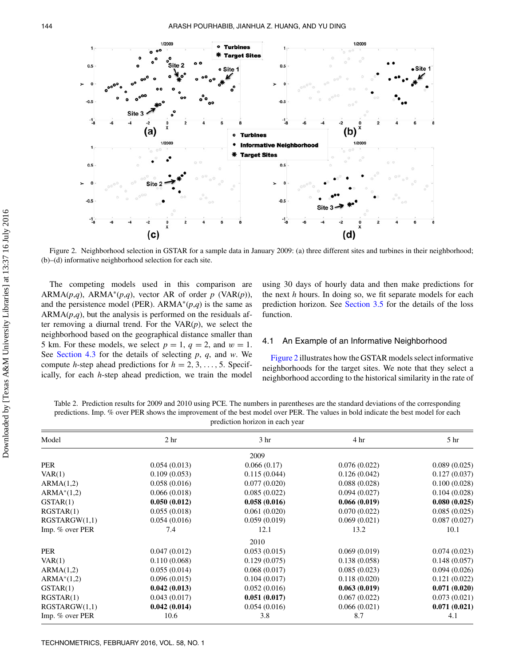<span id="page-7-1"></span>

Figure 2. Neighborhood selection in GSTAR for a sample data in January 2009: (a) three different sites and turbines in their neighborhood; (b)–(d) informative neighborhood selection for each site.

The competing models used in this comparison are ARMA $(p,q)$ , ARMA<sup>\*</sup> $(p,q)$ , vector AR of order *p* (VAR $(p)$ ), and the persistence model (PER). ARMA<sup>\*</sup> $(p,q)$  is the same as  $ARMA(p,q)$ , but the analysis is performed on the residuals after removing a diurnal trend. For the  $VAR(p)$ , we select the neighborhood based on the geographical distance smaller than 5 km. For these models, we select  $p = 1$ ,  $q = 2$ , and  $w = 1$ . See [Section 4.3](#page-8-0) for the details of selecting *p*, *q*, and *w*. We compute *h*-step ahead predictions for  $h = 2, 3, \ldots, 5$ . Specifically, for each *h*-step ahead prediction, we train the model using 30 days of hourly data and then make predictions for the next *h* hours. In doing so, we fit separate models for each prediction horizon. See [Section 3.5](#page-5-0) for the details of the loss function.

#### 4.1 An Example of an Informative Neighborhood

<span id="page-7-0"></span>[Figure 2](#page-7-1) illustrates how the GSTAR models select informative neighborhoods for the target sites. We note that they select a neighborhood according to the historical similarity in the rate of

<span id="page-7-2"></span>Table 2. Prediction results for 2009 and 2010 using PCE. The numbers in parentheses are the standard deviations of the corresponding predictions. Imp. % over PER shows the improvement of the best model over PER. The values in bold indicate the best model for each prediction horizon in each year

| Model           | 2 <sub>hr</sub> | 3 <sub>hr</sub> | 4 hr         | 5 <sup>hr</sup> |
|-----------------|-----------------|-----------------|--------------|-----------------|
|                 |                 | 2009            |              |                 |
| PER             | 0.054(0.013)    | 0.066(0.17)     | 0.076(0.022) | 0.089(0.025)    |
| VAR(1)          | 0.109(0.053)    | 0.115(0.044)    | 0.126(0.042) | 0.127(0.037)    |
| ARMA(1,2)       | 0.058(0.016)    | 0.077(0.020)    | 0.088(0.028) | 0.100(0.028)    |
| $ARMA*(1,2)$    | 0.066(0.018)    | 0.085(0.022)    | 0.094(0.027) | 0.104(0.028)    |
| GSTAR(1)        | 0.050(0.012)    | 0.058(0.016)    | 0.066(0.019) | 0.080(0.025)    |
| RGSTAR(1)       | 0.055(0.018)    | 0.061(0.020)    | 0.070(0.022) | 0.085(0.025)    |
| RGSTARGW(1,1)   | 0.054(0.016)    | 0.059(0.019)    | 0.069(0.021) | 0.087(0.027)    |
| Imp. % over PER | 7.4             | 12.1            | 13.2         | 10.1            |
|                 |                 | 2010            |              |                 |
| <b>PER</b>      | 0.047(0.012)    | 0.053(0.015)    | 0.069(0.019) | 0.074(0.023)    |
| VAR(1)          | 0.110(0.068)    | 0.129(0.075)    | 0.138(0.058) | 0.148(0.057)    |
| ARMA(1,2)       | 0.055(0.014)    | 0.068(0.017)    | 0.085(0.023) | 0.094(0.026)    |
| $ARMA*(1,2)$    | 0.096(0.015)    | 0.104(0.017)    | 0.118(0.020) | 0.121(0.022)    |
| GSTAR(1)        | 0.042(0.013)    | 0.052(0.016)    | 0.063(0.019) | 0.071(0.020)    |
| RGSTAR(1)       | 0.043(0.017)    | 0.051(0.017)    | 0.067(0.022) | 0.073(0.021)    |
| RGSTARGW(1,1)   | 0.042(0.014)    | 0.054(0.016)    | 0.066(0.021) | 0.071(0.021)    |
| Imp. % over PER | 10.6            | 3.8             | 8.7          | 4.1             |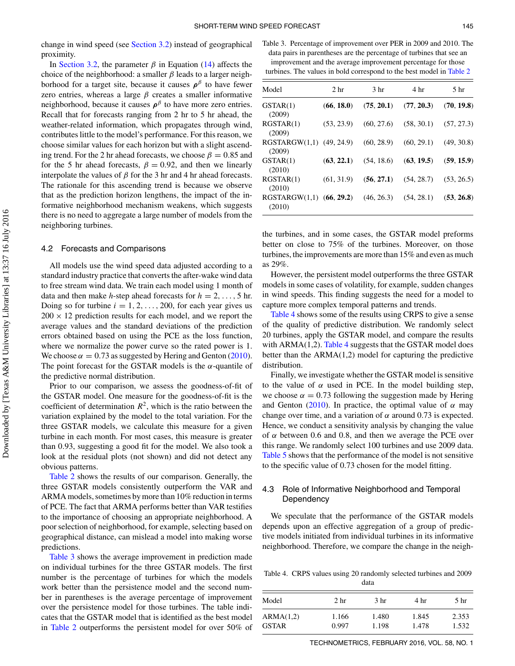change in wind speed (see [Section 3.2\)](#page-4-0) instead of geographical proximity.

In [Section 3.2,](#page-4-0) the parameter  $\beta$  in Equation [\(14\)](#page-4-6) affects the choice of the neighborhood: a smaller  $\beta$  leads to a larger neighborhood for a target site, because it causes  $\rho^{\beta}$  to have fewer zero entries, whereas a large  $\beta$  creates a smaller informative neighborhood, because it causes  $\rho^{\beta}$  to have more zero entries. Recall that for forecasts ranging from 2 hr to 5 hr ahead, the weather-related information, which propagates through wind, contributes little to the model's performance. For this reason, we choose similar values for each horizon but with a slight ascending trend. For the 2 hr ahead forecasts, we choose  $\beta = 0.85$  and for the 5 hr ahead forecasts,  $\beta = 0.92$ , and then we linearly interpolate the values of  $\beta$  for the 3 hr and 4 hr ahead forecasts. The rationale for this ascending trend is because we observe that as the prediction horizon lengthens, the impact of the informative neighborhood mechanism weakens, which suggests there is no need to aggregate a large number of models from the neighboring turbines.

#### 4.2 Forecasts and Comparisons

All models use the wind speed data adjusted according to a standard industry practice that converts the after-wake wind data to free stream wind data. We train each model using 1 month of data and then make *h*-step ahead forecasts for  $h = 2, \ldots, 5$  hr. Doing so for turbine  $i = 1, 2, \ldots, 200$ , for each year gives us  $200 \times 12$  prediction results for each model, and we report the average values and the standard deviations of the prediction errors obtained based on using the PCE as the loss function, where we normalize the power curve so the rated power is 1. We choose  $\alpha = 0.73$  as suggested by Hering and Genton [\(2010\)](#page-10-25). The point forecast for the GSTAR models is the  $\alpha$ -quantile of the predictive normal distribution.

Prior to our comparison, we assess the goodness-of-fit of the GSTAR model. One measure for the goodness-of-fit is the coefficient of determination  $R^2$ , which is the ratio between the variation explained by the model to the total variation. For the three GSTAR models, we calculate this measure for a given turbine in each month. For most cases, this measure is greater than 0.93, suggesting a good fit for the model. We also took a look at the residual plots (not shown) and did not detect any obvious patterns.

[Table 2](#page-7-2) shows the results of our comparison. Generally, the three GSTAR models consistently outperform the VAR and ARMA models, sometimes by more than 10% reduction in terms of PCE. The fact that ARMA performs better than VAR testifies to the importance of choosing an appropriate neighborhood. A poor selection of neighborhood, for example, selecting based on geographical distance, can mislead a model into making worse predictions.

[Table 3](#page-8-2) shows the average improvement in prediction made on individual turbines for the three GSTAR models. The first number is the percentage of turbines for which the models work better than the persistence model and the second number in parentheses is the average percentage of improvement over the persistence model for those turbines. The table indicates that the GSTAR model that is identified as the best model in [Table 2](#page-7-2) outperforms the persistent model for over 50% of

<span id="page-8-2"></span>Table 3. Percentage of improvement over PER in 2009 and 2010. The data pairs in parentheses are the percentage of turbines that see an improvement and the average improvement percentage for those turbines. The values in bold correspond to the best model in [Table 2](#page-7-2)

| Model                              | 2 <sub>hr</sub> | 3 <sub>hr</sub> | 4 <sup>hr</sup>           | 5 <sub>hr</sub> |
|------------------------------------|-----------------|-----------------|---------------------------|-----------------|
| GSTAR(1)<br>(2009)                 | (66, 18.0)      | (75, 20.1)      | (77, 20.3)                | (70, 19.8)      |
| RGSTAR(1)<br>(2009)                | (53, 23.9)      | (60, 27.6)      | $(58, 30.1)$ $(57, 27.3)$ |                 |
| RGSTARGW(1,1) (49, 24.9)<br>(2009) |                 | (60, 28.9)      | $(60, 29.1)$ $(49, 30.8)$ |                 |
| GSTAR(1)<br>(2010)                 | (63, 22.1)      | (54, 18.6)      | $(63, 19.5)$ $(59, 15.9)$ |                 |
| RGSTAR(1)<br>(2010)                | (61, 31.9)      | (56, 27.1)      | $(54, 28.7)$ $(53, 26.5)$ |                 |
| RGSTARGW(1,1) (66, 29.2)<br>(2010) |                 | (46, 26.3)      | (54, 28.1)                | (53, 26.8)      |

the turbines, and in some cases, the GSTAR model preforms better on close to 75% of the turbines. Moreover, on those turbines, the improvements are more than 15% and even as much as 29%.

<span id="page-8-1"></span>However, the persistent model outperforms the three GSTAR models in some cases of volatility, for example, sudden changes in wind speeds. This finding suggests the need for a model to capture more complex temporal patterns and trends.

[Table 4](#page-8-3) shows some of the results using CRPS to give a sense of the quality of predictive distribution. We randomly select 20 turbines, apply the GSTAR model, and compare the results with  $ARMA(1,2)$ . [Table 4](#page-8-3) suggests that the GSTAR model does better than the ARMA(1,2) model for capturing the predictive distribution.

<span id="page-8-4"></span>Finally, we investigate whether the GSTAR model is sensitive to the value of  $\alpha$  used in PCE. In the model building step, we choose  $\alpha = 0.73$  following the suggestion made by Hering and Genton [\(2010\)](#page-10-25). In practice, the optimal value of  $\alpha$  may change over time, and a variation of  $\alpha$  around 0.73 is expected. Hence, we conduct a sensitivity analysis by changing the value of  $\alpha$  between 0.6 and 0.8, and then we average the PCE over this range. We randomly select 100 turbines and use 2009 data. [Table 5](#page-9-1) shows that the performance of the model is not sensitive to the specific value of 0.73 chosen for the model fitting.

# 4.3 Role of Informative Neighborhood and Temporal **Dependency**

<span id="page-8-0"></span>We speculate that the performance of the GSTAR models depends upon an effective aggregation of a group of predictive models initiated from individual turbines in its informative neighborhood. Therefore, we compare the change in the neigh-

<span id="page-8-3"></span>Table 4. CRPS values using 20 randomly selected turbines and 2009 data

| Model                     | 2 <sub>hr</sub> | 3 <sub>hr</sub> | 4 hr           | 5 <sub>hr</sub> |
|---------------------------|-----------------|-----------------|----------------|-----------------|
| ARMA(1,2)<br><b>GSTAR</b> | 1.166<br>0.997  | 1.480<br>1.198  | 1.845<br>1.478 | 2.353<br>1.532  |

TECHNOMETRICS, FEBRUARY 2016, VOL. 58, NO. 1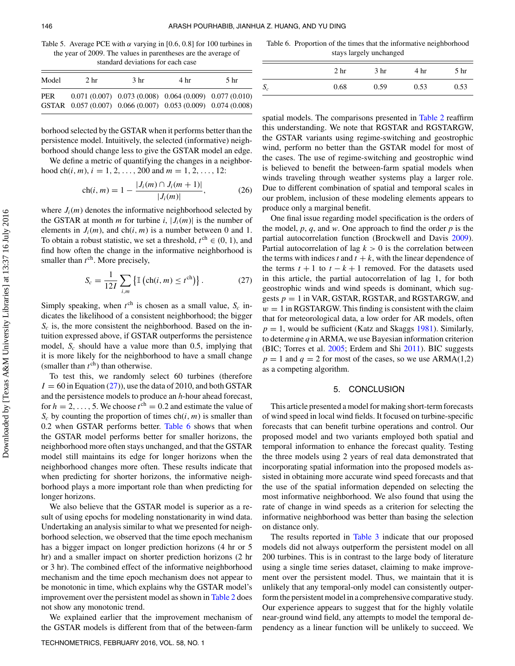<span id="page-9-1"></span>Table 5. Average PCE with  $\alpha$  varying in [0.6, 0.8] for 100 turbines in the year of 2009. The values in parentheses are the average of standard deviations for each case

| Model | 2 <sub>hr</sub>                                               | 3 <sub>hr</sub>                                             | 4 hr | 5 <sub>hr</sub> |
|-------|---------------------------------------------------------------|-------------------------------------------------------------|------|-----------------|
| PER   | GSTAR 0.057 (0.007) 0.066 (0.007) 0.053 (0.009) 0.074 (0.008) | $0.071(0.007)$ $0.073(0.008)$ $0.064(0.009)$ $0.077(0.010)$ |      |                 |

borhood selected by the GSTAR when it performs better than the persistence model. Intuitively, the selected (informative) neighborhood should change less to give the GSTAR model an edge.

We define a metric of quantifying the changes in a neighborhood ch $(i, m)$ ,  $i = 1, 2, ..., 200$  and  $m = 1, 2, ..., 12$ :

$$
ch(i, m) = 1 - \frac{|J_i(m) \cap J_i(m+1)|}{|J_i(m)|}, \tag{26}
$$

where  $J_i(m)$  denotes the informative neighborhood selected by the GSTAR at month *m* for turbine *i*,  $|J_i(m)|$  is the number of elements in  $J_i(m)$ , and ch(i, m) is a number between 0 and 1. To obtain a robust statistic, we set a threshold,  $t^{ch} \in (0, 1)$ , and find how often the change in the informative neighborhood is smaller than  $t^{\text{ch}}$ . More precisely,

$$
S_c = \frac{1}{12I} \sum_{i,m} \left\{ \mathbb{I} \left( \text{ch}(i,m) \le t^{\text{ch}} \right) \right\}. \tag{27}
$$

<span id="page-9-2"></span>Simply speaking, when  $t<sup>ch</sup>$  is chosen as a small value,  $S_c$  indicates the likelihood of a consistent neighborhood; the bigger  $S_c$  is, the more consistent the neighborhood. Based on the intuition expressed above, if GSTAR outperforms the persistence model,  $S_c$  should have a value more than 0.5, implying that it is more likely for the neighborhood to have a small change (smaller than  $t^{ch}$ ) than otherwise.

To test this, we randomly select 60 turbines (therefore  $I = 60$  in Equation [\(27\)](#page-9-2)), use the data of 2010, and both GSTAR and the persistence models to produce an *h*-hour ahead forecast, for  $h = 2, \ldots, 5$ . We choose  $t^{ch} = 0.2$  and estimate the value of  $S_c$  by counting the proportion of times ch(i, m) is smaller than 0.2 when GSTAR performs better. [Table 6](#page-9-3) shows that when the GSTAR model performs better for smaller horizons, the neighborhood more often stays unchanged, and that the GSTAR model still maintains its edge for longer horizons when the neighborhood changes more often. These results indicate that when predicting for shorter horizons, the informative neighborhood plays a more important role than when predicting for longer horizons.

We also believe that the GSTAR model is superior as a result of using epochs for modeling nonstationarity in wind data. Undertaking an analysis similar to what we presented for neighborhood selection, we observed that the time epoch mechanism has a bigger impact on longer prediction horizons (4 hr or 5 hr) and a smaller impact on shorter prediction horizons (2 hr or 3 hr). The combined effect of the informative neighborhood mechanism and the time epoch mechanism does not appear to be monotonic in time, which explains why the GSTAR model's improvement over the persistent model as shown in [Table 2](#page-7-2) does not show any monotonic trend.

We explained earlier that the improvement mechanism of the GSTAR models is different from that of the between-farm

<span id="page-9-3"></span>Table 6. Proportion of the times that the informative neighborhood stays largely unchanged

|       | 2 <sub>hr</sub> | 3 <sub>hr</sub> | 4 hr | 5 <sub>hr</sub> |
|-------|-----------------|-----------------|------|-----------------|
| $S_c$ | 0.68            | 0.59            | 0.53 | 0.53            |

spatial models. The comparisons presented in [Table 2](#page-7-2) reaffirm this understanding. We note that RGSTAR and RGSTARGW, the GSTAR variants using regime-switching and geostrophic wind, perform no better than the GSTAR model for most of the cases. The use of regime-switching and geostrophic wind is believed to benefit the between-farm spatial models when winds traveling through weather systems play a larger role. Due to different combination of spatial and temporal scales in our problem, inclusion of these modeling elements appears to produce only a marginal benefit.

One final issue regarding model specification is the orders of the model, *p*, *q*, and *w*. One approach to find the order *p* is the partial autocorrelation function (Brockwell and Davis [2009\)](#page-10-36). Partial autocorrelation of lag  $k > 0$  is the correlation between the terms with indices  $t$  and  $t + k$ , with the linear dependence of the terms  $t + 1$  to  $t - k + 1$  removed. For the datasets used in this article, the partial autocorrelation of lag 1, for both geostrophic winds and wind speeds is dominant, which suggests  $p = 1$  in VAR, GSTAR, RGSTAR, and RGSTARGW, and  $w = 1$  in RGSTARGW. This finding is consistent with the claim that for meteorological data, a low order for AR models, often  $p = 1$ , would be sufficient (Katz and Skaggs [1981\)](#page-10-12). Similarly, to determine *q* in ARMA, we use Bayesian information criterion (BIC; Torres et al. [2005;](#page-10-9) Erdem and Shi [2011\)](#page-10-10). BIC suggests  $p = 1$  and  $q = 2$  for most of the cases, so we use ARMA(1,2) as a competing algorithm.

# <span id="page-9-7"></span><span id="page-9-6"></span><span id="page-9-5"></span><span id="page-9-4"></span><span id="page-9-0"></span>5. CONCLUSION

This article presented a model for making short-term forecasts of wind speed in local wind fields. It focused on turbine-specific forecasts that can benefit turbine operations and control. Our proposed model and two variants employed both spatial and temporal information to enhance the forecast quality. Testing the three models using 2 years of real data demonstrated that incorporating spatial information into the proposed models assisted in obtaining more accurate wind speed forecasts and that the use of the spatial information depended on selecting the most informative neighborhood. We also found that using the rate of change in wind speeds as a criterion for selecting the informative neighborhood was better than basing the selection on distance only.

The results reported in [Table 3](#page-8-2) indicate that our proposed models did not always outperform the persistent model on all 200 turbines. This is in contrast to the large body of literature using a single time series dataset, claiming to make improvement over the persistent model. Thus, we maintain that it is unlikely that any temporal-only model can consistently outperform the persistent model in a comprehensive comparative study. Our experience appears to suggest that for the highly volatile near-ground wind field, any attempts to model the temporal dependency as a linear function will be unlikely to succeed. We